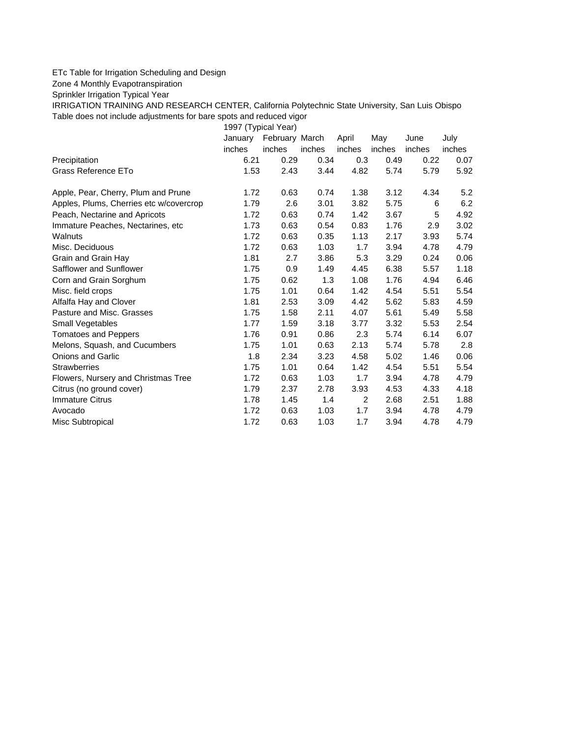## ETc Table for Irrigation Scheduling and Design

Zone 4 Monthly Evapotranspiration

Sprinkler Irrigation Typical Year

IRRIGATION TRAINING AND RESEARCH CENTER, California Polytechnic State University, San Luis Obispo Table does not include adjustments for bare spots and reduced vigor

1997 (Typical Year)

|                                         | January | February March |        | April          | May    | June   | July   |
|-----------------------------------------|---------|----------------|--------|----------------|--------|--------|--------|
|                                         | inches  | inches         | inches | inches         | inches | inches | inches |
| Precipitation                           | 6.21    | 0.29           | 0.34   | 0.3            | 0.49   | 0.22   | 0.07   |
| Grass Reference ETo                     | 1.53    | 2.43           | 3.44   | 4.82           | 5.74   | 5.79   | 5.92   |
| Apple, Pear, Cherry, Plum and Prune     | 1.72    | 0.63           | 0.74   | 1.38           | 3.12   | 4.34   | 5.2    |
| Apples, Plums, Cherries etc w/covercrop | 1.79    | 2.6            | 3.01   | 3.82           | 5.75   | 6      | 6.2    |
| Peach, Nectarine and Apricots           | 1.72    | 0.63           | 0.74   | 1.42           | 3.67   | 5      | 4.92   |
| Immature Peaches, Nectarines, etc.      | 1.73    | 0.63           | 0.54   | 0.83           | 1.76   | 2.9    | 3.02   |
| Walnuts                                 | 1.72    | 0.63           | 0.35   | 1.13           | 2.17   | 3.93   | 5.74   |
| Misc. Deciduous                         | 1.72    | 0.63           | 1.03   | 1.7            | 3.94   | 4.78   | 4.79   |
| Grain and Grain Hay                     | 1.81    | 2.7            | 3.86   | 5.3            | 3.29   | 0.24   | 0.06   |
| Safflower and Sunflower                 | 1.75    | 0.9            | 1.49   | 4.45           | 6.38   | 5.57   | 1.18   |
| Corn and Grain Sorghum                  | 1.75    | 0.62           | 1.3    | 1.08           | 1.76   | 4.94   | 6.46   |
| Misc. field crops                       | 1.75    | 1.01           | 0.64   | 1.42           | 4.54   | 5.51   | 5.54   |
| Alfalfa Hay and Clover                  | 1.81    | 2.53           | 3.09   | 4.42           | 5.62   | 5.83   | 4.59   |
| Pasture and Misc. Grasses               | 1.75    | 1.58           | 2.11   | 4.07           | 5.61   | 5.49   | 5.58   |
| Small Vegetables                        | 1.77    | 1.59           | 3.18   | 3.77           | 3.32   | 5.53   | 2.54   |
| <b>Tomatoes and Peppers</b>             | 1.76    | 0.91           | 0.86   | 2.3            | 5.74   | 6.14   | 6.07   |
| Melons, Squash, and Cucumbers           | 1.75    | 1.01           | 0.63   | 2.13           | 5.74   | 5.78   | 2.8    |
| <b>Onions and Garlic</b>                | 1.8     | 2.34           | 3.23   | 4.58           | 5.02   | 1.46   | 0.06   |
| <b>Strawberries</b>                     | 1.75    | 1.01           | 0.64   | 1.42           | 4.54   | 5.51   | 5.54   |
| Flowers, Nursery and Christmas Tree     | 1.72    | 0.63           | 1.03   | 1.7            | 3.94   | 4.78   | 4.79   |
| Citrus (no ground cover)                | 1.79    | 2.37           | 2.78   | 3.93           | 4.53   | 4.33   | 4.18   |
| <b>Immature Citrus</b>                  | 1.78    | 1.45           | 1.4    | $\overline{2}$ | 2.68   | 2.51   | 1.88   |
| Avocado                                 | 1.72    | 0.63           | 1.03   | 1.7            | 3.94   | 4.78   | 4.79   |
| Misc Subtropical                        | 1.72    | 0.63           | 1.03   | 1.7            | 3.94   | 4.78   | 4.79   |